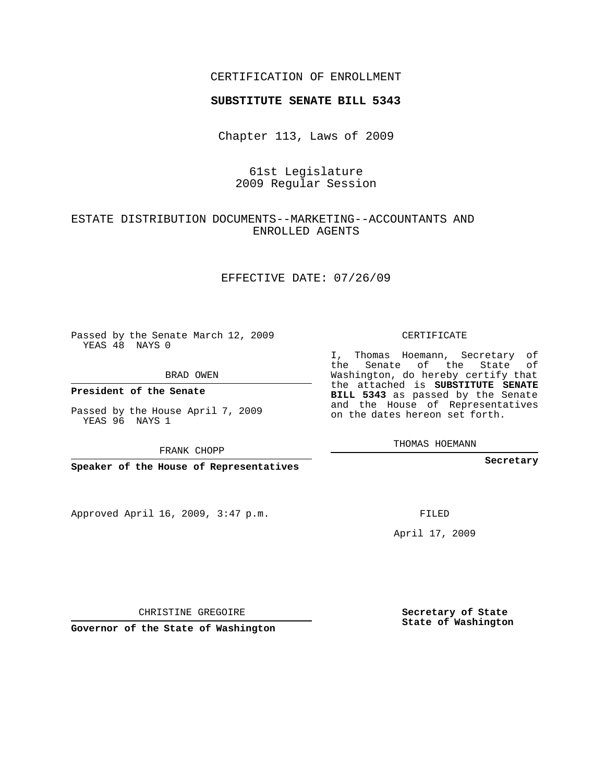### CERTIFICATION OF ENROLLMENT

#### **SUBSTITUTE SENATE BILL 5343**

Chapter 113, Laws of 2009

## 61st Legislature 2009 Regular Session

## ESTATE DISTRIBUTION DOCUMENTS--MARKETING--ACCOUNTANTS AND ENROLLED AGENTS

#### EFFECTIVE DATE: 07/26/09

Passed by the Senate March 12, 2009 YEAS 48 NAYS 0

BRAD OWEN

**President of the Senate**

Passed by the House April 7, 2009 YEAS 96 NAYS 1

FRANK CHOPP

**Speaker of the House of Representatives**

Approved April 16, 2009, 3:47 p.m.

CERTIFICATE

I, Thomas Hoemann, Secretary of the Senate of the State of Washington, do hereby certify that the attached is **SUBSTITUTE SENATE BILL 5343** as passed by the Senate and the House of Representatives on the dates hereon set forth.

THOMAS HOEMANN

**Secretary**

FILED

April 17, 2009

CHRISTINE GREGOIRE

**Governor of the State of Washington**

**Secretary of State State of Washington**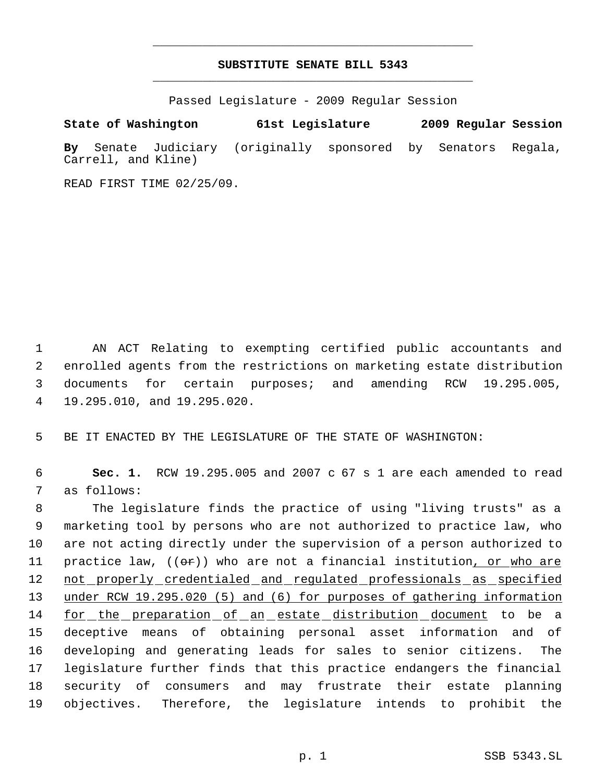# **SUBSTITUTE SENATE BILL 5343** \_\_\_\_\_\_\_\_\_\_\_\_\_\_\_\_\_\_\_\_\_\_\_\_\_\_\_\_\_\_\_\_\_\_\_\_\_\_\_\_\_\_\_\_\_

\_\_\_\_\_\_\_\_\_\_\_\_\_\_\_\_\_\_\_\_\_\_\_\_\_\_\_\_\_\_\_\_\_\_\_\_\_\_\_\_\_\_\_\_\_

Passed Legislature - 2009 Regular Session

**State of Washington 61st Legislature 2009 Regular Session By** Senate Judiciary (originally sponsored by Senators Regala, Carrell, and Kline)

READ FIRST TIME 02/25/09.

 AN ACT Relating to exempting certified public accountants and enrolled agents from the restrictions on marketing estate distribution documents for certain purposes; and amending RCW 19.295.005, 19.295.010, and 19.295.020.

5 BE IT ENACTED BY THE LEGISLATURE OF THE STATE OF WASHINGTON:

 6 **Sec. 1.** RCW 19.295.005 and 2007 c 67 s 1 are each amended to read 7 as follows:

 The legislature finds the practice of using "living trusts" as a marketing tool by persons who are not authorized to practice law, who are not acting directly under the supervision of a person authorized to 11 practice law,  $($   $(\theta \cdot \hat{r})$  who are not a financial institution, or who are 12 not properly credentialed and regulated professionals as specified under RCW 19.295.020 (5) and (6) for purposes of gathering information 14 for the preparation of an estate distribution document to be a deceptive means of obtaining personal asset information and of developing and generating leads for sales to senior citizens. The legislature further finds that this practice endangers the financial security of consumers and may frustrate their estate planning objectives. Therefore, the legislature intends to prohibit the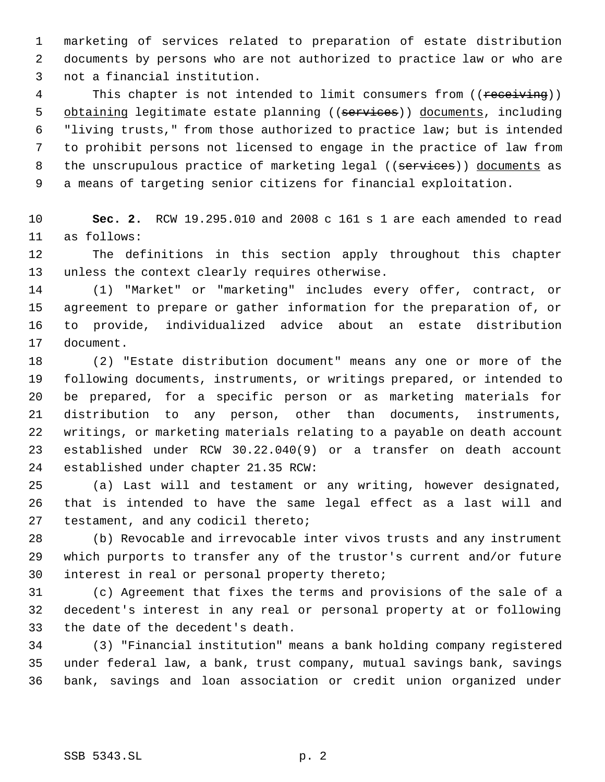marketing of services related to preparation of estate distribution documents by persons who are not authorized to practice law or who are not a financial institution.

4 This chapter is not intended to limit consumers from ((receiving)) 5 obtaining legitimate estate planning ((services)) documents, including "living trusts," from those authorized to practice law; but is intended to prohibit persons not licensed to engage in the practice of law from 8 the unscrupulous practice of marketing legal ((services)) documents as a means of targeting senior citizens for financial exploitation.

 **Sec. 2.** RCW 19.295.010 and 2008 c 161 s 1 are each amended to read as follows:

 The definitions in this section apply throughout this chapter unless the context clearly requires otherwise.

 (1) "Market" or "marketing" includes every offer, contract, or agreement to prepare or gather information for the preparation of, or to provide, individualized advice about an estate distribution document.

 (2) "Estate distribution document" means any one or more of the following documents, instruments, or writings prepared, or intended to be prepared, for a specific person or as marketing materials for distribution to any person, other than documents, instruments, writings, or marketing materials relating to a payable on death account established under RCW 30.22.040(9) or a transfer on death account established under chapter 21.35 RCW:

 (a) Last will and testament or any writing, however designated, that is intended to have the same legal effect as a last will and testament, and any codicil thereto;

 (b) Revocable and irrevocable inter vivos trusts and any instrument which purports to transfer any of the trustor's current and/or future interest in real or personal property thereto;

 (c) Agreement that fixes the terms and provisions of the sale of a decedent's interest in any real or personal property at or following the date of the decedent's death.

 (3) "Financial institution" means a bank holding company registered under federal law, a bank, trust company, mutual savings bank, savings bank, savings and loan association or credit union organized under